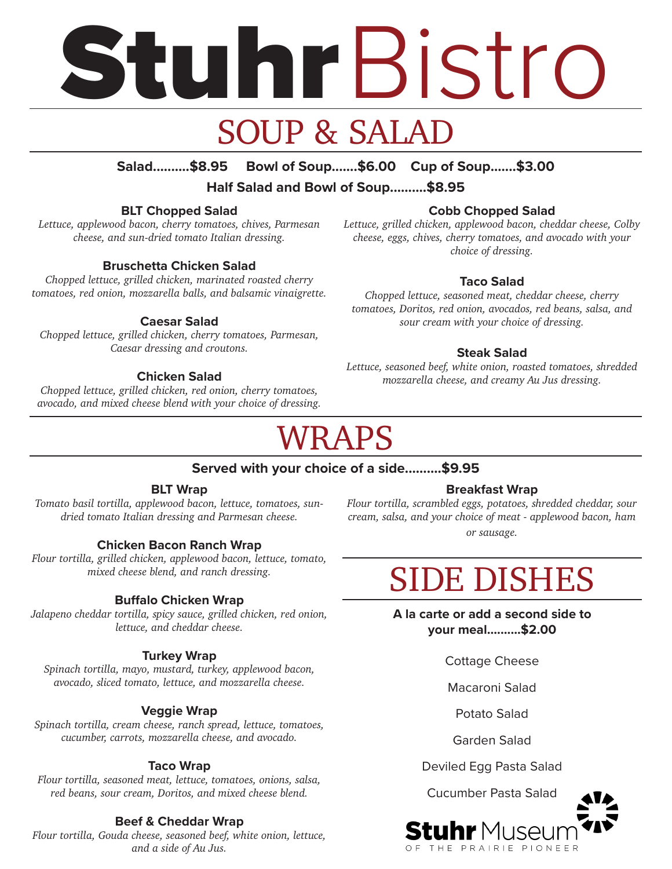# Stuhr Bistro

## SOUP & SALAD

#### **Salad..........\$8.95 Bowl of Soup.......\$6.00 Cup of Soup.......\$3.00**

**Half Salad and Bowl of Soup..........\$8.95** 

#### **BLT Chopped Salad**

*Lettuce, applewood bacon, cherry tomatoes, chives, Parmesan cheese, and sun-dried tomato Italian dressing.*

#### **Bruschetta Chicken Salad**

*Chopped lettuce, grilled chicken, marinated roasted cherry tomatoes, red onion, mozzarella balls, and balsamic vinaigrette.*

#### **Caesar Salad**

*Chopped lettuce, grilled chicken, cherry tomatoes, Parmesan, Caesar dressing and croutons.* 

#### **Chicken Salad**

*Chopped lettuce, grilled chicken, red onion, cherry tomatoes, avocado, and mixed cheese blend with your choice of dressing.*

#### **Cobb Chopped Salad**

*Lettuce, grilled chicken, applewood bacon, cheddar cheese, Colby cheese, eggs, chives, cherry tomatoes, and avocado with your choice of dressing.*

#### **Taco Salad**

*Chopped lettuce, seasoned meat, cheddar cheese, cherry tomatoes, Doritos, red onion, avocados, red beans, salsa, and sour cream with your choice of dressing.*

#### **Steak Salad**

*Lettuce, seasoned beef, white onion, roasted tomatoes, shredded mozzarella cheese, and creamy Au Jus dressing.* 

## WRAPS

#### **Served with your choice of a side..........\$9.95**

#### **BLT Wrap**

*Tomato basil tortilla, applewood bacon, lettuce, tomatoes, sundried tomato Italian dressing and Parmesan cheese.*

#### **Chicken Bacon Ranch Wrap**

*Flour tortilla, grilled chicken, applewood bacon, lettuce, tomato, mixed cheese blend, and ranch dressing.*

#### **Buffalo Chicken Wrap**

*Jalapeno cheddar tortilla, spicy sauce, grilled chicken, red onion, lettuce, and cheddar cheese.* 

#### **Turkey Wrap**

*Spinach tortilla, mayo, mustard, turkey, applewood bacon, avocado, sliced tomato, lettuce, and mozzarella cheese.*

#### **Veggie Wrap**

*Spinach tortilla, cream cheese, ranch spread, lettuce, tomatoes, cucumber, carrots, mozzarella cheese, and avocado.* 

#### **Taco Wrap**

*Flour tortilla, seasoned meat, lettuce, tomatoes, onions, salsa, red beans, sour cream, Doritos, and mixed cheese blend.* 

#### **Beef & Cheddar Wrap**

*Flour tortilla, Gouda cheese, seasoned beef, white onion, lettuce, and a side of Au Jus.* 

#### **Breakfast Wrap**

*Flour tortilla, scrambled eggs, potatoes, shredded cheddar, sour cream, salsa, and your choice of meat - applewood bacon, ham or sausage.* 

## SIDE DISHES

**A la carte or add a second side to your meal..........\$2.00**

Cottage Cheese

Macaroni Salad

Potato Salad

Garden Salad

Deviled Egg Pasta Salad

Cucumber Pasta Salad